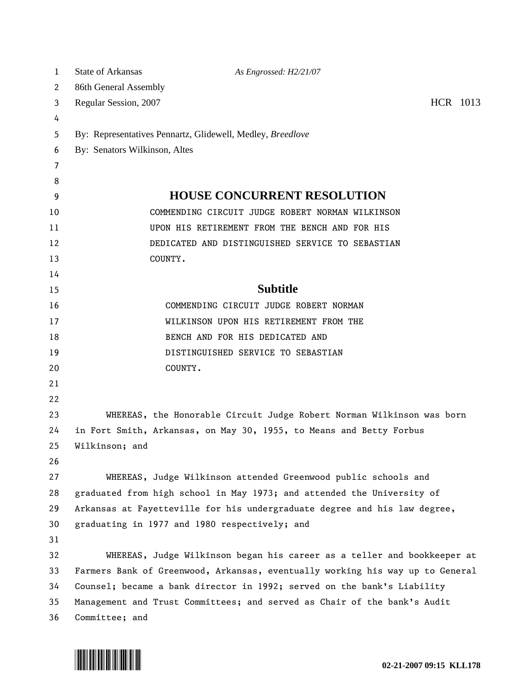| 1  | <b>State of Arkansas</b>                                   | As Engrossed: H2/21/07                                                        |          |  |  |
|----|------------------------------------------------------------|-------------------------------------------------------------------------------|----------|--|--|
| 2  | 86th General Assembly                                      |                                                                               |          |  |  |
| 3  | Regular Session, 2007                                      |                                                                               | HCR 1013 |  |  |
| 4  |                                                            |                                                                               |          |  |  |
| 5  | By: Representatives Pennartz, Glidewell, Medley, Breedlove |                                                                               |          |  |  |
| 6  | By: Senators Wilkinson, Altes                              |                                                                               |          |  |  |
| 7  |                                                            |                                                                               |          |  |  |
| 8  |                                                            |                                                                               |          |  |  |
| 9  |                                                            | <b>HOUSE CONCURRENT RESOLUTION</b>                                            |          |  |  |
| 10 |                                                            | COMMENDING CIRCUIT JUDGE ROBERT NORMAN WILKINSON                              |          |  |  |
| 11 |                                                            | UPON HIS RETIREMENT FROM THE BENCH AND FOR HIS                                |          |  |  |
| 12 |                                                            | DEDICATED AND DISTINGUISHED SERVICE TO SEBASTIAN                              |          |  |  |
| 13 |                                                            | COUNTY.                                                                       |          |  |  |
| 14 |                                                            |                                                                               |          |  |  |
| 15 |                                                            | <b>Subtitle</b>                                                               |          |  |  |
| 16 |                                                            | COMMENDING CIRCUIT JUDGE ROBERT NORMAN                                        |          |  |  |
| 17 |                                                            | WILKINSON UPON HIS RETIREMENT FROM THE                                        |          |  |  |
| 18 |                                                            | BENCH AND FOR HIS DEDICATED AND                                               |          |  |  |
| 19 |                                                            | DISTINGUISHED SERVICE TO SEBASTIAN                                            |          |  |  |
| 20 |                                                            | COUNTY.                                                                       |          |  |  |
| 21 |                                                            |                                                                               |          |  |  |
| 22 |                                                            |                                                                               |          |  |  |
| 23 |                                                            | WHEREAS, the Honorable Circuit Judge Robert Norman Wilkinson was born         |          |  |  |
| 24 |                                                            | in Fort Smith, Arkansas, on May 30, 1955, to Means and Betty Forbus           |          |  |  |
| 25 | Wilkinson; and                                             |                                                                               |          |  |  |
| 26 |                                                            |                                                                               |          |  |  |
| 27 |                                                            | WHEREAS, Judge Wilkinson attended Greenwood public schools and                |          |  |  |
| 28 |                                                            | graduated from high school in May 1973; and attended the University of        |          |  |  |
| 29 |                                                            | Arkansas at Fayetteville for his undergraduate degree and his law degree,     |          |  |  |
| 30 |                                                            | graduating in 1977 and 1980 respectively; and                                 |          |  |  |
| 31 |                                                            |                                                                               |          |  |  |
| 32 |                                                            | WHEREAS, Judge Wilkinson began his career as a teller and bookkeeper at       |          |  |  |
| 33 |                                                            | Farmers Bank of Greenwood, Arkansas, eventually working his way up to General |          |  |  |
| 34 |                                                            | Counsel; became a bank director in 1992; served on the bank's Liability       |          |  |  |
| 35 |                                                            | Management and Trust Committees; and served as Chair of the bank's Audit      |          |  |  |
| 36 | Committee; and                                             |                                                                               |          |  |  |

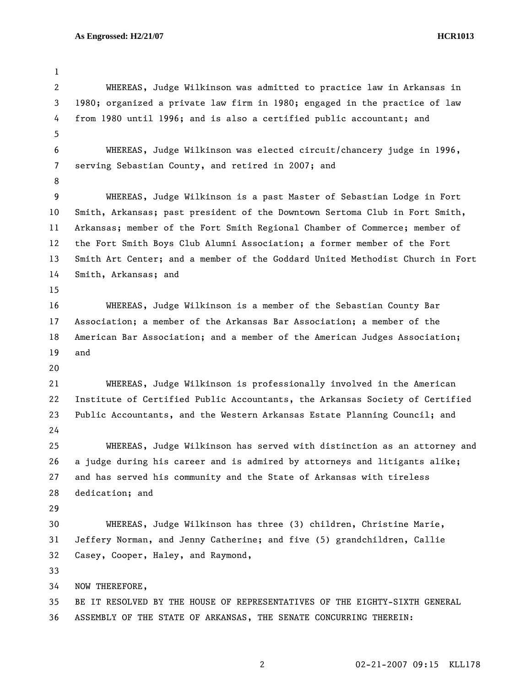1 2 WHEREAS, Judge Wilkinson was admitted to practice law in Arkansas in 3 1980; organized a private law firm in 1980; engaged in the practice of law 4 from 1980 until 1996; and is also a certified public accountant; and 5 6 WHEREAS, Judge Wilkinson was elected circuit/chancery judge in 1996, 7 serving Sebastian County, and retired in 2007; and 8 9 WHEREAS, Judge Wilkinson is a past Master of Sebastian Lodge in Fort 10 Smith, Arkansas; past president of the Downtown Sertoma Club in Fort Smith, 11 Arkansas; member of the Fort Smith Regional Chamber of Commerce; member of 12 the Fort Smith Boys Club Alumni Association; a former member of the Fort 13 Smith Art Center; and a member of the Goddard United Methodist Church in Fort 14 Smith, Arkansas; and 15 16 WHEREAS, Judge Wilkinson is a member of the Sebastian County Bar 17 Association; a member of the Arkansas Bar Association; a member of the 18 American Bar Association; and a member of the American Judges Association; 19 and 20 21 WHEREAS, Judge Wilkinson is professionally involved in the American 22 Institute of Certified Public Accountants, the Arkansas Society of Certified 23 Public Accountants, and the Western Arkansas Estate Planning Council; and 24 25 WHEREAS, Judge Wilkinson has served with distinction as an attorney and 26 a judge during his career and is admired by attorneys and litigants alike; 27 and has served his community and the State of Arkansas with tireless 28 dedication; and 29 30 WHEREAS, Judge Wilkinson has three (3) children, Christine Marie, 31 Jeffery Norman, and Jenny Catherine; and five (5) grandchildren, Callie 32 Casey, Cooper, Haley, and Raymond, 33 34 NOW THEREFORE, 35 BE IT RESOLVED BY THE HOUSE OF REPRESENTATIVES OF THE EIGHTY-SIXTH GENERAL 36 ASSEMBLY OF THE STATE OF ARKANSAS, THE SENATE CONCURRING THEREIN: